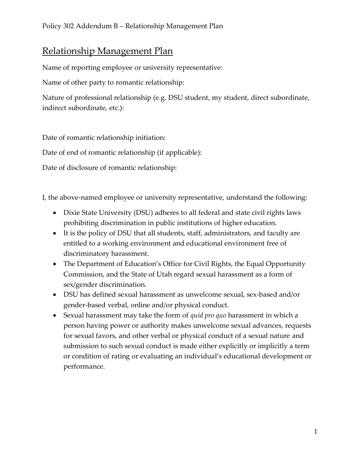## Relationship Management Plan

Name of reporting employee or university representative:

Name of other party to romantic relationship:

Nature of professional relationship (e.g. DSU student, my student, direct subordinate, indirect subordinate, etc.):

Date of romantic relationship initiation:

Date of end of romantic relationship (if applicable):

Date of disclosure of romantic relationship:

I, the above-named employee or university representative, understand the following:

- Dixie State University (DSU) adheres to all federal and state civil rights laws prohibiting discrimination in public institutions of higher education.
- It is the policy of DSU that all students, staff, administrators, and faculty are entitled to a working environment and educational environment free of discriminatory harassment.
- The Department of Education's Office for Civil Rights, the Equal Opportunity Commission, and the State of Utah regard sexual harassment as a form of sex/gender discrimination.
- DSU has defined sexual harassment as unwelcome sexual, sex-based and/or gender-based verbal, online and/or physical conduct.
- Sexual harassment may take the form of *quid pro quo* harassment in which a person having power or authority makes unwelcome sexual advances, requests for sexual favors, and other verbal or physical conduct of a sexual nature and submission to such sexual conduct is made either explicitly or implicitly a term or condition of rating or evaluating an individual's educational development or performance.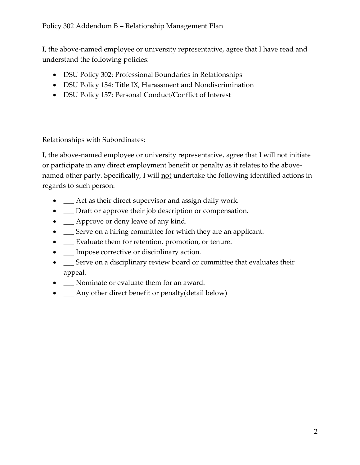## Policy 302 Addendum B – Relationship Management Plan

I, the above-named employee or university representative, agree that I have read and understand the following policies:

- DSU Policy 302: Professional Boundaries in Relationships
- DSU Policy 154: Title IX, Harassment and Nondiscrimination
- DSU Policy 157: Personal Conduct/Conflict of Interest

## Relationships with Subordinates:

I, the above-named employee or university representative, agree that I will not initiate or participate in any direct employment benefit or penalty as it relates to the abovenamed other party. Specifically, I will not undertake the following identified actions in regards to such person:

- $\quad$  Act as their direct supervisor and assign daily work.
- $\Box$  Draft or approve their job description or compensation.
- $\qquad \qquad$  Approve or deny leave of any kind.
- $\quad \_$  Serve on a hiring committee for which they are an applicant.
- $\quad \_$  Evaluate them for retention, promotion, or tenure.
- Impose corrective or disciplinary action.
- $\quad \_$  Serve on a disciplinary review board or committee that evaluates their appeal.
- $\Box$  Nominate or evaluate them for an award.
- \_\_\_ Any other direct benefit or penalty(detail below)